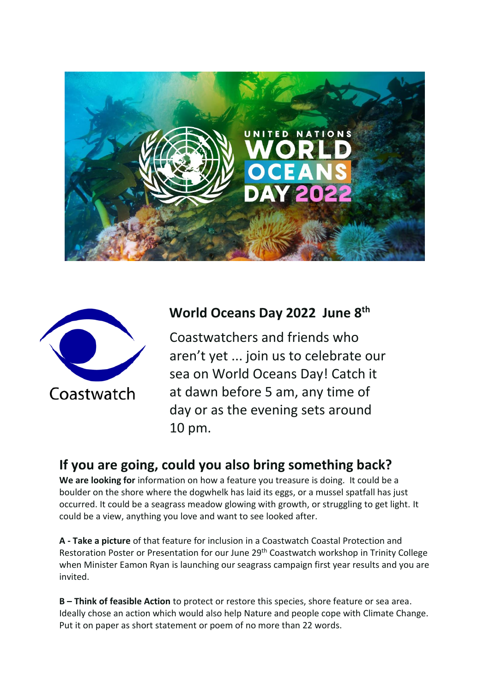



## **World Oceans Day 2022 June 8th**

Coastwatchers and friends who aren't yet ... join us to celebrate our sea on World Oceans Day! Catch it at dawn before 5 am, any time of day or as the evening sets around 10 pm.

## **If you are going, could you also bring something back?**

We are looking for information on how a feature you treasure is doing. It could be a boulder on the shore where the dogwhelk has laid its eggs, or a mussel spatfall has just occurred. It could be a seagrass meadow glowing with growth, or struggling to get light. It could be a view, anything you love and want to see looked after.

**A - Take a picture** of that feature for inclusion in a Coastwatch Coastal Protection and Restoration Poster or Presentation for our June 29<sup>th</sup> Coastwatch workshop in Trinity College when Minister Eamon Ryan is launching our seagrass campaign first year results and you are invited.

**B – Think of feasible Action** to protect or restore this species, shore feature or sea area. Ideally chose an action which would also help Nature and people cope with Climate Change. Put it on paper as short statement or poem of no more than 22 words.